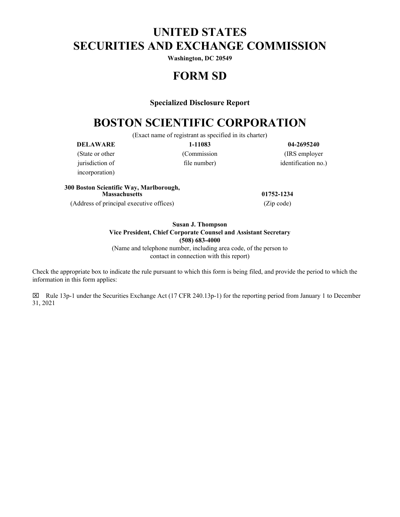# **UNITED STATES SECURITIES AND EXCHANGE COMMISSION**

**Washington, DC 20549**

## **FORM SD**

#### **Specialized Disclosure Report**

## **BOSTON SCIENTIFIC CORPORATION**

(Exact name of registrant as specified in its charter)

incorporation)

**DELAWARE 1-11083 04-2695240** (State or other (Commission (IRS employer jurisdiction of file number) identification no.)

### **300 Boston Scientific Way, Marlborough, Massachusetts 01752-1234** (Address of principal executive offices) (Zip code)

## **Susan J. Thompson Vice President, Chief Corporate Counsel and Assistant Secretary (508) 683-4000**

(Name and telephone number, including area code, of the person to contact in connection with this report)

Check the appropriate box to indicate the rule pursuant to which this form is being filed, and provide the period to which the information in this form applies:

 $\boxtimes$  Rule 13p-1 under the Securities Exchange Act (17 CFR 240.13p-1) for the reporting period from January 1 to December 31, 2021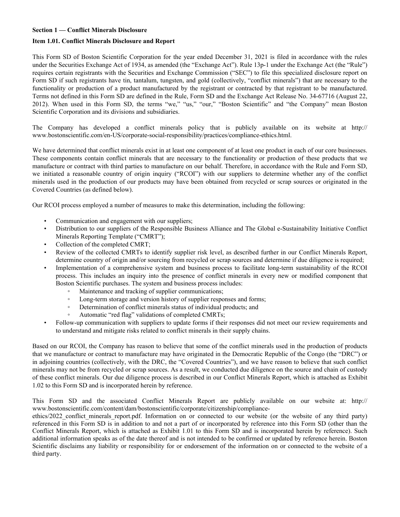#### **Section 1 — Conflict Minerals Disclosure**

#### **Item 1.01. Conflict Minerals Disclosure and Report**

This Form SD of Boston Scientific Corporation for the year ended December 31, 2021 is filed in accordance with the rules under the Securities Exchange Act of 1934, as amended (the "Exchange Act"). Rule 13p-1 under the Exchange Act (the "Rule") requires certain registrants with the Securities and Exchange Commission ("SEC") to file this specialized disclosure report on Form SD if such registrants have tin, tantalum, tungsten, and gold (collectively, "conflict minerals") that are necessary to the functionality or production of a product manufactured by the registrant or contracted by that registrant to be manufactured. Terms not defined in this Form SD are defined in the Rule, Form SD and the Exchange Act Release No. 34-67716 (August 22, 2012). When used in this Form SD, the terms "we," "us," "our," "Boston Scientific" and "the Company" mean Boston Scientific Corporation and its divisions and subsidiaries.

The Company has developed a conflict minerals policy that is publicly available on its website at http:// www.bostonscientific.com/en-US/corporate-social-responsibility/practices/compliance-ethics.html.

We have determined that conflict minerals exist in at least one component of at least one product in each of our core businesses. These components contain conflict minerals that are necessary to the functionality or production of these products that we manufacture or contract with third parties to manufacture on our behalf. Therefore, in accordance with the Rule and Form SD, we initiated a reasonable country of origin inquiry ("RCOI") with our suppliers to determine whether any of the conflict minerals used in the production of our products may have been obtained from recycled or scrap sources or originated in the Covered Countries (as defined below).

Our RCOI process employed a number of measures to make this determination, including the following:

- Communication and engagement with our suppliers;
- Distribution to our suppliers of the Responsible Business Alliance and The Global e-Sustainability Initiative Conflict Minerals Reporting Template ("CMRT");
- Collection of the completed CMRT;
- Review of the collected CMRTs to identify supplier risk level, as described further in our Conflict Minerals Report, determine country of origin and/or sourcing from recycled or scrap sources and determine if due diligence is required;
- Implementation of a comprehensive system and business process to facilitate long-term sustainability of the RCOI process. This includes an inquiry into the presence of conflict minerals in every new or modified component that Boston Scientific purchases. The system and business process includes:
	- Maintenance and tracking of supplier communications;
	- Long-term storage and version history of supplier responses and forms;
	- Determination of conflict minerals status of individual products; and
	- Automatic "red flag" validations of completed CMRTs;
- Follow-up communication with suppliers to update forms if their responses did not meet our review requirements and to understand and mitigate risks related to conflict minerals in their supply chains.

Based on our RCOI, the Company has reason to believe that some of the conflict minerals used in the production of products that we manufacture or contract to manufacture may have originated in the Democratic Republic of the Congo (the "DRC") or in adjoining countries (collectively, with the DRC, the "Covered Countries"), and we have reason to believe that such conflict minerals may not be from recycled or scrap sources. As a result, we conducted due diligence on the source and chain of custody of these conflict minerals. Our due diligence process is described in our Conflict Minerals Report, which is attached as Exhibit 1.02 to this Form SD and is incorporated herein by reference.

This Form SD and the associated Conflict Minerals Report are publicly available on our website at: http:// www.bostonscientific.com/content/dam/bostonscientific/corporate/citizenship/compliance-

ethics/2022 conflict minerals report.pdf. Information on or connected to our website (or the website of any third party) referenced in this Form SD is in addition to and not a part of or incorporated by reference into this Form SD (other than the Conflict Minerals Report, which is attached as Exhibit 1.01 to this Form SD and is incorporated herein by reference). Such additional information speaks as of the date thereof and is not intended to be confirmed or updated by reference herein. Boston Scientific disclaims any liability or responsibility for or endorsement of the information on or connected to the website of a third party.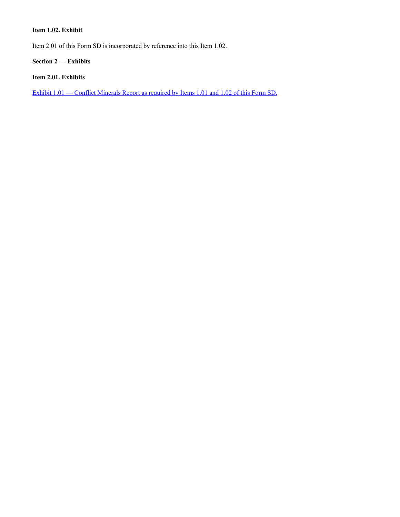## **Item 1.02. Exhibit**

Item 2.01 of this Form SD is incorporated by reference into this Item 1.02.

**Section 2 — Exhibits**

## **Item 2.01. Exhibits**

Exhibit  $1.01$  — Conflict Minerals Report as required by Items 1.01 and 1.02 of this Form SD.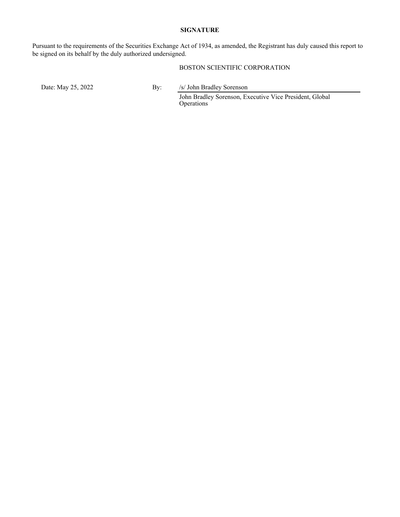#### **SIGNATURE**

Pursuant to the requirements of the Securities Exchange Act of 1934, as amended, the Registrant has duly caused this report to be signed on its behalf by the duly authorized undersigned.

#### BOSTON SCIENTIFIC CORPORATION

Date: May 25, 2022 By: /s/ John Bradley Sorenson

John Bradley Sorenson, Executive Vice President, Global Operations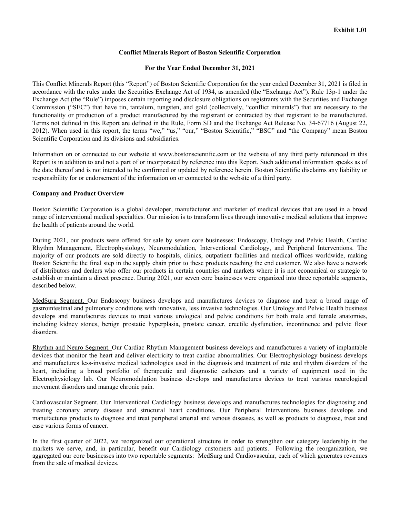#### **Conflict Minerals Report of Boston Scientific Corporation**

#### **For the Year Ended December 31, 2021**

This Conflict Minerals Report (this "Report") of Boston Scientific Corporation for the year ended December 31, 2021 is filed in accordance with the rules under the Securities Exchange Act of 1934, as amended (the "Exchange Act"). Rule 13p-1 under the Exchange Act (the "Rule") imposes certain reporting and disclosure obligations on registrants with the Securities and Exchange Commission ("SEC") that have tin, tantalum, tungsten, and gold (collectively, "conflict minerals") that are necessary to the functionality or production of a product manufactured by the registrant or contracted by that registrant to be manufactured. Terms not defined in this Report are defined in the Rule, Form SD and the Exchange Act Release No. 34-67716 (August 22, 2012). When used in this report, the terms "we," "us," "our," "Boston Scientific," "BSC" and "the Company" mean Boston Scientific Corporation and its divisions and subsidiaries.

Information on or connected to our website at www.bostonscientific.com or the website of any third party referenced in this Report is in addition to and not a part of or incorporated by reference into this Report. Such additional information speaks as of the date thereof and is not intended to be confirmed or updated by reference herein. Boston Scientific disclaims any liability or responsibility for or endorsement of the information on or connected to the website of a third party.

#### **Company and Product Overview**

Boston Scientific Corporation is a global developer, manufacturer and marketer of medical devices that are used in a broad range of interventional medical specialties. Our mission is to transform lives through innovative medical solutions that improve the health of patients around the world.

During 2021, our products were offered for sale by seven core businesses: Endoscopy, Urology and Pelvic Health, Cardiac Rhythm Management, Electrophysiology, Neuromodulation, Interventional Cardiology, and Peripheral Interventions. The majority of our products are sold directly to hospitals, clinics, outpatient facilities and medical offices worldwide, making Boston Scientific the final step in the supply chain prior to these products reaching the end customer. We also have a network of distributors and dealers who offer our products in certain countries and markets where it is not economical or strategic to establish or maintain a direct presence. During 2021, our seven core businesses were organized into three reportable segments, described below.

MedSurg Segment. Our Endoscopy business develops and manufactures devices to diagnose and treat a broad range of gastrointestinal and pulmonary conditions with innovative, less invasive technologies. Our Urology and Pelvic Health business develops and manufactures devices to treat various urological and pelvic conditions for both male and female anatomies, including kidney stones, benign prostatic hyperplasia, prostate cancer, erectile dysfunction, incontinence and pelvic floor disorders.

Rhythm and Neuro Segment. Our Cardiac Rhythm Management business develops and manufactures a variety of implantable devices that monitor the heart and deliver electricity to treat cardiac abnormalities. Our Electrophysiology business develops and manufactures less-invasive medical technologies used in the diagnosis and treatment of rate and rhythm disorders of the heart, including a broad portfolio of therapeutic and diagnostic catheters and a variety of equipment used in the Electrophysiology lab. Our Neuromodulation business develops and manufactures devices to treat various neurological movement disorders and manage chronic pain.

Cardiovascular Segment. Our Interventional Cardiology business develops and manufactures technologies for diagnosing and treating coronary artery disease and structural heart conditions. Our Peripheral Interventions business develops and manufactures products to diagnose and treat peripheral arterial and venous diseases, as well as products to diagnose, treat and ease various forms of cancer.

In the first quarter of 2022, we reorganized our operational structure in order to strengthen our category leadership in the markets we serve, and, in particular, benefit our Cardiology customers and patients. Following the reorganization, we aggregated our core businesses into two reportable segments: MedSurg and Cardiovascular, each of which generates revenues from the sale of medical devices.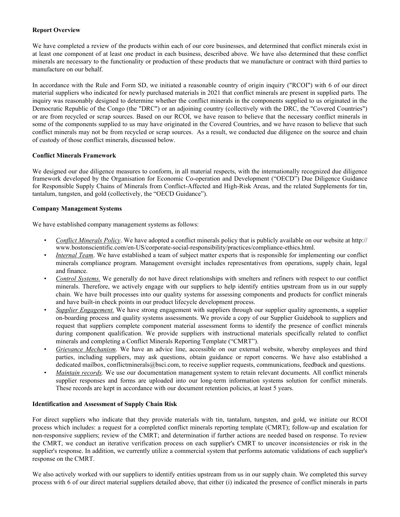#### **Report Overview**

We have completed a review of the products within each of our core businesses, and determined that conflict minerals exist in at least one component of at least one product in each business, described above. We have also determined that these conflict minerals are necessary to the functionality or production of these products that we manufacture or contract with third parties to manufacture on our behalf.

In accordance with the Rule and Form SD, we initiated a reasonable country of origin inquiry ("RCOI") with 6 of our direct material suppliers who indicated for newly purchased materials in 2021 that conflict minerals are present in supplied parts. The inquiry was reasonably designed to determine whether the conflict minerals in the components supplied to us originated in the Democratic Republic of the Congo (the "DRC") or an adjoining country (collectively with the DRC, the "Covered Countries") or are from recycled or scrap sources. Based on our RCOI, we have reason to believe that the necessary conflict minerals in some of the components supplied to us may have originated in the Covered Countries, and we have reason to believe that such conflict minerals may not be from recycled or scrap sources. As a result, we conducted due diligence on the source and chain of custody of those conflict minerals, discussed below.

#### **Conflict Minerals Framework**

We designed our due diligence measures to conform, in all material respects, with the internationally recognized due diligence framework developed by the Organisation for Economic Co-operation and Development ("OECD") Due Diligence Guidance for Responsible Supply Chains of Minerals from Conflict-Affected and High-Risk Areas, and the related Supplements for tin, tantalum, tungsten, and gold (collectively, the "OECD Guidance").

#### **Company Management Systems**

We have established company management systems as follows:

- *Conflict Minerals Policy*. We have adopted a conflict minerals policy that is publicly available on our website at http:// www.bostonscientific.com/en-US/corporate-social-responsibility/practices/compliance-ethics.html.
- *Internal Team*. We have established a team of subject matter experts that is responsible for implementing our conflict minerals compliance program. Management oversight includes representatives from operations, supply chain, legal and finance.
- *Control Systems.* We generally do not have direct relationships with smelters and refiners with respect to our conflict minerals. Therefore, we actively engage with our suppliers to help identify entities upstream from us in our supply chain. We have built processes into our quality systems for assessing components and products for conflict minerals and have built-in check points in our product lifecycle development process.
- *Supplier Engagement.* We have strong engagement with suppliers through our supplier quality agreements, a supplier on-boarding process and quality systems assessments. We provide a copy of our Supplier Guidebook to suppliers and request that suppliers complete component material assessment forms to identify the presence of conflict minerals during component qualification. We provide suppliers with instructional materials specifically related to conflict minerals and completing a Conflict Minerals Reporting Template ("CMRT").
- *Grievance Mechanism*. We have an advice line, accessible on our external website, whereby employees and third parties, including suppliers, may ask questions, obtain guidance or report concerns. We have also established a dedicated mailbox, conflictminerals@bsci.com, to receive supplier requests, communications, feedback and questions.
- *Maintain records.* We use our documentation management system to retain relevant documents. All conflict minerals supplier responses and forms are uploaded into our long-term information systems solution for conflict minerals. These records are kept in accordance with our document retention policies, at least 5 years.

#### **Identification and Assessment of Supply Chain Risk**

For direct suppliers who indicate that they provide materials with tin, tantalum, tungsten, and gold, we initiate our RCOI process which includes: a request for a completed conflict minerals reporting template (CMRT); follow-up and escalation for non-responsive suppliers; review of the CMRT; and determination if further actions are needed based on response. To review the CMRT, we conduct an iterative verification process on each supplier's CMRT to uncover inconsistencies or risk in the supplier's response. In addition, we currently utilize a commercial system that performs automatic validations of each supplier's response on the CMRT.

We also actively worked with our suppliers to identify entities upstream from us in our supply chain. We completed this survey process with 6 of our direct material suppliers detailed above, that either (i) indicated the presence of conflict minerals in parts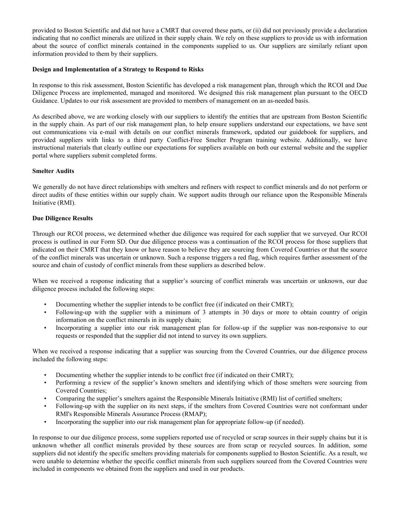provided to Boston Scientific and did not have a CMRT that covered these parts, or (ii) did not previously provide a declaration indicating that no conflict minerals are utilized in their supply chain. We rely on these suppliers to provide us with information about the source of conflict minerals contained in the components supplied to us. Our suppliers are similarly reliant upon information provided to them by their suppliers.

#### **Design and Implementation of a Strategy to Respond to Risks**

In response to this risk assessment, Boston Scientific has developed a risk management plan, through which the RCOI and Due Diligence Process are implemented, managed and monitored. We designed this risk management plan pursuant to the OECD Guidance. Updates to our risk assessment are provided to members of management on an as-needed basis.

As described above, we are working closely with our suppliers to identify the entities that are upstream from Boston Scientific in the supply chain. As part of our risk management plan, to help ensure suppliers understand our expectations, we have sent out communications via e-mail with details on our conflict minerals framework, updated our guidebook for suppliers, and provided suppliers with links to a third party Conflict-Free Smelter Program training website. Additionally, we have instructional materials that clearly outline our expectations for suppliers available on both our external website and the supplier portal where suppliers submit completed forms.

#### **Smelter Audits**

We generally do not have direct relationships with smelters and refiners with respect to conflict minerals and do not perform or direct audits of these entities within our supply chain. We support audits through our reliance upon the Responsible Minerals Initiative (RMI).

#### **Due Diligence Results**

Through our RCOI process, we determined whether due diligence was required for each supplier that we surveyed. Our RCOI process is outlined in our Form SD. Our due diligence process was a continuation of the RCOI process for those suppliers that indicated on their CMRT that they know or have reason to believe they are sourcing from Covered Countries or that the source of the conflict minerals was uncertain or unknown. Such a response triggers a red flag, which requires further assessment of the source and chain of custody of conflict minerals from these suppliers as described below.

When we received a response indicating that a supplier's sourcing of conflict minerals was uncertain or unknown, our due diligence process included the following steps:

- Documenting whether the supplier intends to be conflict free (if indicated on their CMRT);
- Following-up with the supplier with a minimum of 3 attempts in 30 days or more to obtain country of origin information on the conflict minerals in its supply chain;
- Incorporating a supplier into our risk management plan for follow-up if the supplier was non-responsive to our requests or responded that the supplier did not intend to survey its own suppliers.

When we received a response indicating that a supplier was sourcing from the Covered Countries, our due diligence process included the following steps:

- Documenting whether the supplier intends to be conflict free (if indicated on their CMRT);
- Performing a review of the supplier's known smelters and identifying which of those smelters were sourcing from Covered Countries;
- Comparing the supplier's smelters against the Responsible Minerals Initiative (RMI) list of certified smelters;
- Following-up with the supplier on its next steps, if the smelters from Covered Countries were not conformant under RMI's Responsible Minerals Assurance Process (RMAP);
- Incorporating the supplier into our risk management plan for appropriate follow-up (if needed).

In response to our due diligence process, some suppliers reported use of recycled or scrap sources in their supply chains but it is unknown whether all conflict minerals provided by these sources are from scrap or recycled sources. In addition, some suppliers did not identify the specific smelters providing materials for components supplied to Boston Scientific. As a result, we were unable to determine whether the specific conflict minerals from such suppliers sourced from the Covered Countries were included in components we obtained from the suppliers and used in our products.